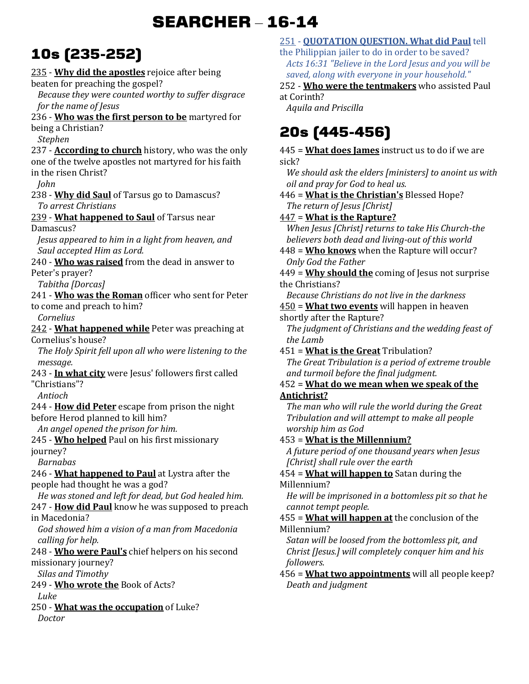# **SEARCHER** – **16-14**

# **10s (235-252)**

235 - **Why did the apostles** rejoice after being beaten for preaching the gospel? *Because they were counted worthy to suffer disgrace for the name of Jesus*  236 - **Who was the first person to be** martyred for being a Christian? *Stephen*  237 - **According to church** history, who was the only one of the twelve apostles not martyred for his faith in the risen Christ? *John*  238 - **Why did Saul** of Tarsus go to Damascus? *To arrest Christians*  239 - **What happened to Saul** of Tarsus near Damascus? *Jesus appeared to him in a light from heaven, and Saul accepted Him as Lord.*  240 - **Who was raised** from the dead in answer to Peter's prayer? *Tabitha [Dorcas]*  241 - **Who was the Roman** officer who sent for Peter to come and preach to him? *Cornelius*  242 - **What happened while** Peter was preaching at Cornelius's house? *The Holy Spirit fell upon all who were listening to the message.*  243 - **In what city** were Jesus' followers first called "Christians"? *Antioch*  244 - **How did Peter** escape from prison the night before Herod planned to kill him? *An angel opened the prison for him.*  245 - **Who helped** Paul on his first missionary journey? *Barnabas*  246 - **What happened to Paul** at Lystra after the people had thought he was a god? *He was stoned and left for dead, but God healed him.*  247 - **How did Paul** know he was supposed to preach in Macedonia? *God showed him a vision of a man from Macedonia calling for help.*  248 - **Who were Paul's** chief helpers on his second missionary journey? *Silas and Timothy*  249 - **Who wrote the** Book of Acts? *Luke*  250 - **What was the occupation** of Luke? *Doctor*  at Corinth? *Aquila and Priscilla*  sick? the Christians? *the Lamb*  **Antichrist?** Millennium? Millennium? *followers.* 

#### 251 - **QUOTATION QUESTION. What did Paul** tell

the Philippian jailer to do in order to be saved? *Acts 16:31 "Believe in the Lord Jesus and you will be saved, along with everyone in your household."* 

252 - **Who were the tentmakers** who assisted Paul

# **20s (445-456)**

445 = **What does James** instruct us to do if we are

*We should ask the elders [ministers] to anoint us with oil and pray for God to heal us.* 

446 = **What is the Christian's** Blessed Hope? *The return of Jesus [Christ]* 

447 = **What is the Rapture?**

*When Jesus [Christ] returns to take His Church-the believers both dead and living-out of this world* 

448 = **Who knows** when the Rapture will occur? *Only God the Father* 

449 = **Why should the** coming of Jesus not surprise

*Because Christians do not live in the darkness*  450 = **What two events** will happen in heaven

shortly after the Rapture?

*The judgment of Christians and the wedding feast of* 

451 = **What is the Great** Tribulation? *The Great Tribulation is a period of extreme trouble and turmoil before the final judgment.* 

# 452 = **What do we mean when we speak of the**

*The man who will rule the world during the Great Tribulation and will attempt to make all people worship him as God* 

453 = **What is the Millennium?**

*A future period of one thousand years when Jesus [Christ] shall rule over the earth* 

454 = **What will happen to** Satan during the

*He will be imprisoned in a bottomless pit so that he cannot tempt people.* 

455 = **What will happen at** the conclusion of the

*Satan will be loosed from the bottomless pit, and Christ [Jesus.] will completely conquer him and his* 

456 = **What two appointments** will all people keep? *Death and judgment*